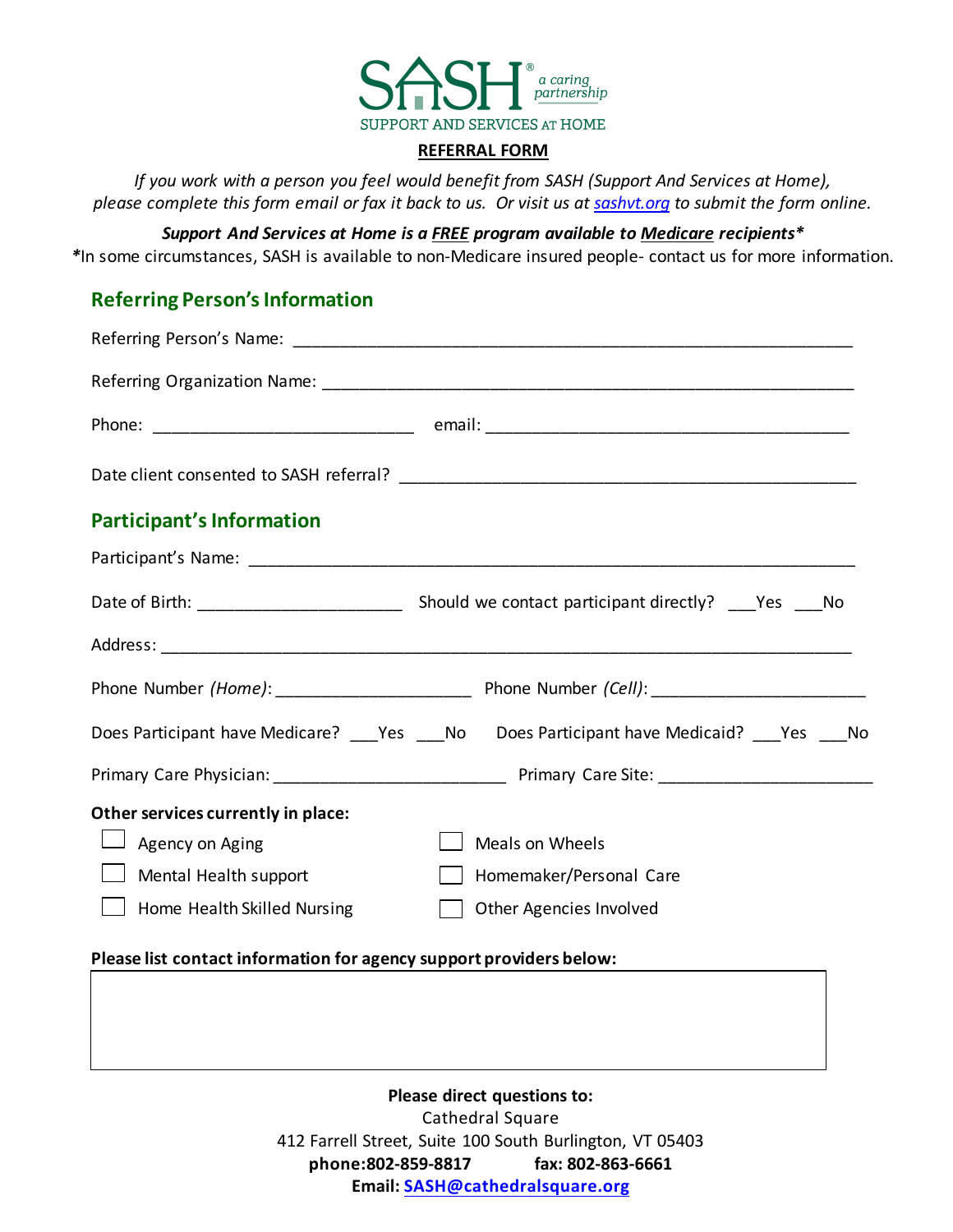

#### **REFERRAL FORM**

*If you work with a person you feel would benefit from SASH (Support And Services at Home), please complete this form email or fax it back to us. Or visit us a[t sashvt.org](http://www.sashvt.org/) to submit the form online.*

*Support And Services at Home is a FREE program available to Medicare recipients\* \**In some circumstances, SASH is available to non-Medicare insured people- contact us for more information.

#### **Referring Person's Information**

| <b>Participant's Information</b>                                    |                                                                                                 |
|---------------------------------------------------------------------|-------------------------------------------------------------------------------------------------|
|                                                                     |                                                                                                 |
|                                                                     |                                                                                                 |
|                                                                     |                                                                                                 |
|                                                                     |                                                                                                 |
|                                                                     | Does Participant have Medicare? ___ Yes ____ No Does Participant have Medicaid? ___ Yes ____ No |
|                                                                     |                                                                                                 |
| Other services currently in place:                                  |                                                                                                 |
| $\Box$ Agency on Aging                                              | <b>Meals on Wheels</b>                                                                          |
| Mental Health support                                               | Homemaker/Personal Care                                                                         |
| Home Health Skilled Nursing                                         | Other Agencies Involved                                                                         |
| Please list contact information for agency support providers below: |                                                                                                 |

**Please direct questions to:**  Cathedral Square 412 Farrell Street, Suite 100 South Burlington, VT 05403 **phone:802-859-8817 fax: 802-863-6661 Email: [SASH@cathedralsquare.or](mailto:SASH@cathedralsquare.org)g**